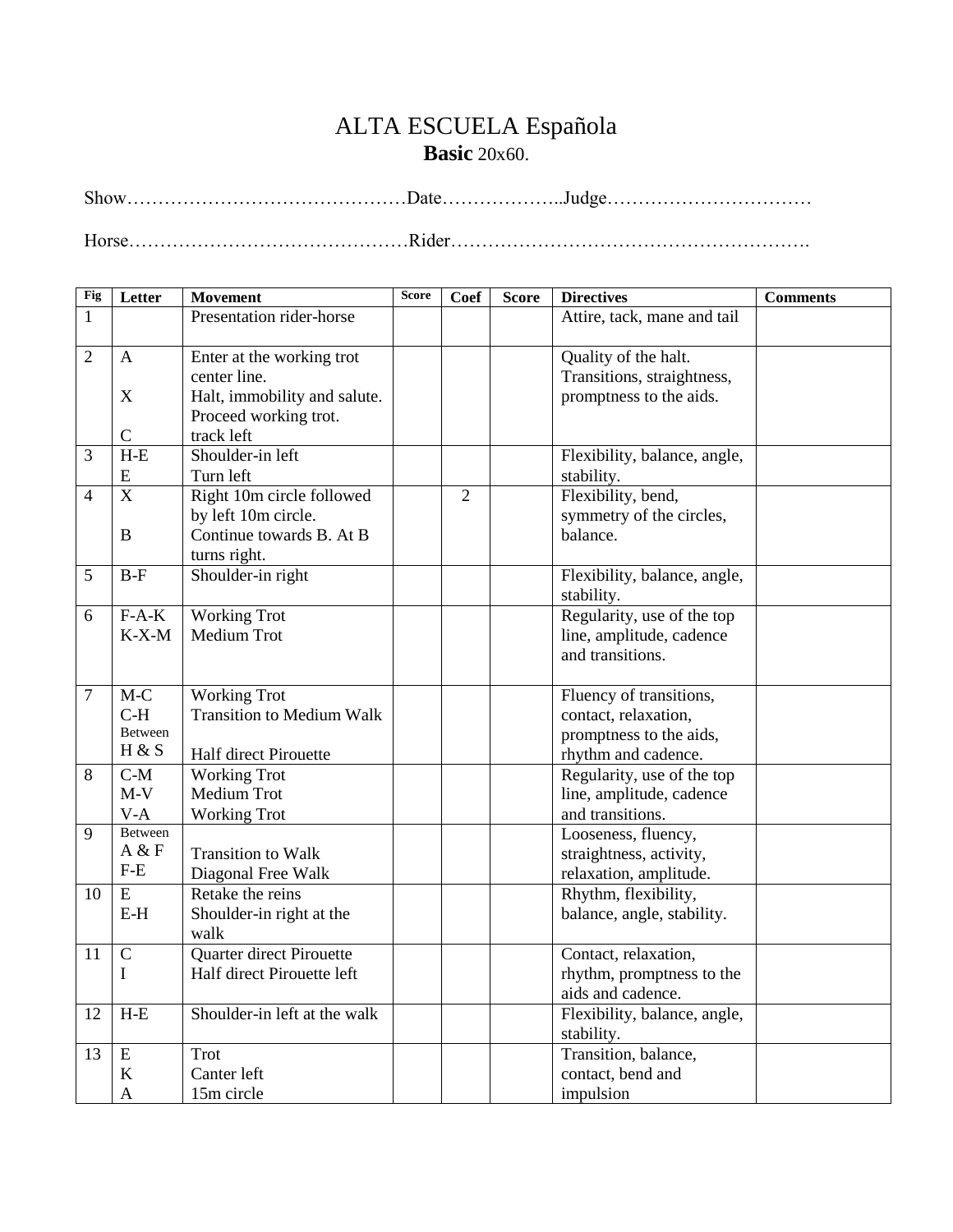# ALTA ESCUELA Española **Basic** 20x60.

| Fig            | Letter                                                     | <b>Movement</b>                                                                                                  | <b>Score</b> | <b>Coef</b>    | <b>Score</b> | <b>Directives</b>                                                                                 | <b>Comments</b> |
|----------------|------------------------------------------------------------|------------------------------------------------------------------------------------------------------------------|--------------|----------------|--------------|---------------------------------------------------------------------------------------------------|-----------------|
| 1              |                                                            | Presentation rider-horse                                                                                         |              |                |              | Attire, tack, mane and tail                                                                       |                 |
| $\overline{2}$ | $\mathbf{A}$<br>$\boldsymbol{\mathrm{X}}$<br>$\mathcal{C}$ | Enter at the working trot<br>center line.<br>Halt, immobility and salute.<br>Proceed working trot.<br>track left |              |                |              | Quality of the halt.<br>Transitions, straightness,<br>promptness to the aids.                     |                 |
| 3              | $H-E$<br>E                                                 | Shoulder-in left<br>Turn left                                                                                    |              |                |              | Flexibility, balance, angle,<br>stability.                                                        |                 |
| $\overline{4}$ | $\mathbf X$<br>B                                           | Right 10m circle followed<br>by left 10m circle.<br>Continue towards B. At B<br>turns right.                     |              | $\overline{2}$ |              | Flexibility, bend,<br>symmetry of the circles,<br>balance.                                        |                 |
| 5              | $B-F$                                                      | Shoulder-in right                                                                                                |              |                |              | Flexibility, balance, angle,<br>stability.                                                        |                 |
| 6              | $F-A-K$<br>$K-X-M$                                         | <b>Working Trot</b><br>Medium Trot                                                                               |              |                |              | Regularity, use of the top<br>line, amplitude, cadence<br>and transitions.                        |                 |
| 7              | $M-C$<br>$C-H$<br>Between<br>H & S                         | <b>Working Trot</b><br><b>Transition to Medium Walk</b><br><b>Half direct Pirouette</b>                          |              |                |              | Fluency of transitions,<br>contact, relaxation,<br>promptness to the aids,<br>rhythm and cadence. |                 |
| 8              | $C-M$<br>$M-V$<br>$V-A$                                    | <b>Working Trot</b><br>Medium Trot<br><b>Working Trot</b>                                                        |              |                |              | Regularity, use of the top<br>line, amplitude, cadence<br>and transitions.                        |                 |
| 9              | Between<br>A & F<br>$F-E$                                  | <b>Transition to Walk</b><br>Diagonal Free Walk                                                                  |              |                |              | Looseness, fluency,<br>straightness, activity,<br>relaxation, amplitude.                          |                 |
| 10             | E<br>$E-H$                                                 | Retake the reins<br>Shoulder-in right at the<br>walk                                                             |              |                |              | Rhythm, flexibility,<br>balance, angle, stability.                                                |                 |
| 11             | $\mathcal{C}$<br>I                                         | Quarter direct Pirouette<br>Half direct Pirouette left                                                           |              |                |              | Contact, relaxation,<br>rhythm, promptness to the<br>aids and cadence.                            |                 |
| 12             | $H-E$                                                      | Shoulder-in left at the walk                                                                                     |              |                |              | Flexibility, balance, angle,<br>stability.                                                        |                 |
| 13             | ${\bf E}$<br>$\bf K$<br>$\mathbf{A}$                       | Trot<br>Canter left<br>15m circle                                                                                |              |                |              | Transition, balance,<br>contact, bend and<br>impulsion                                            |                 |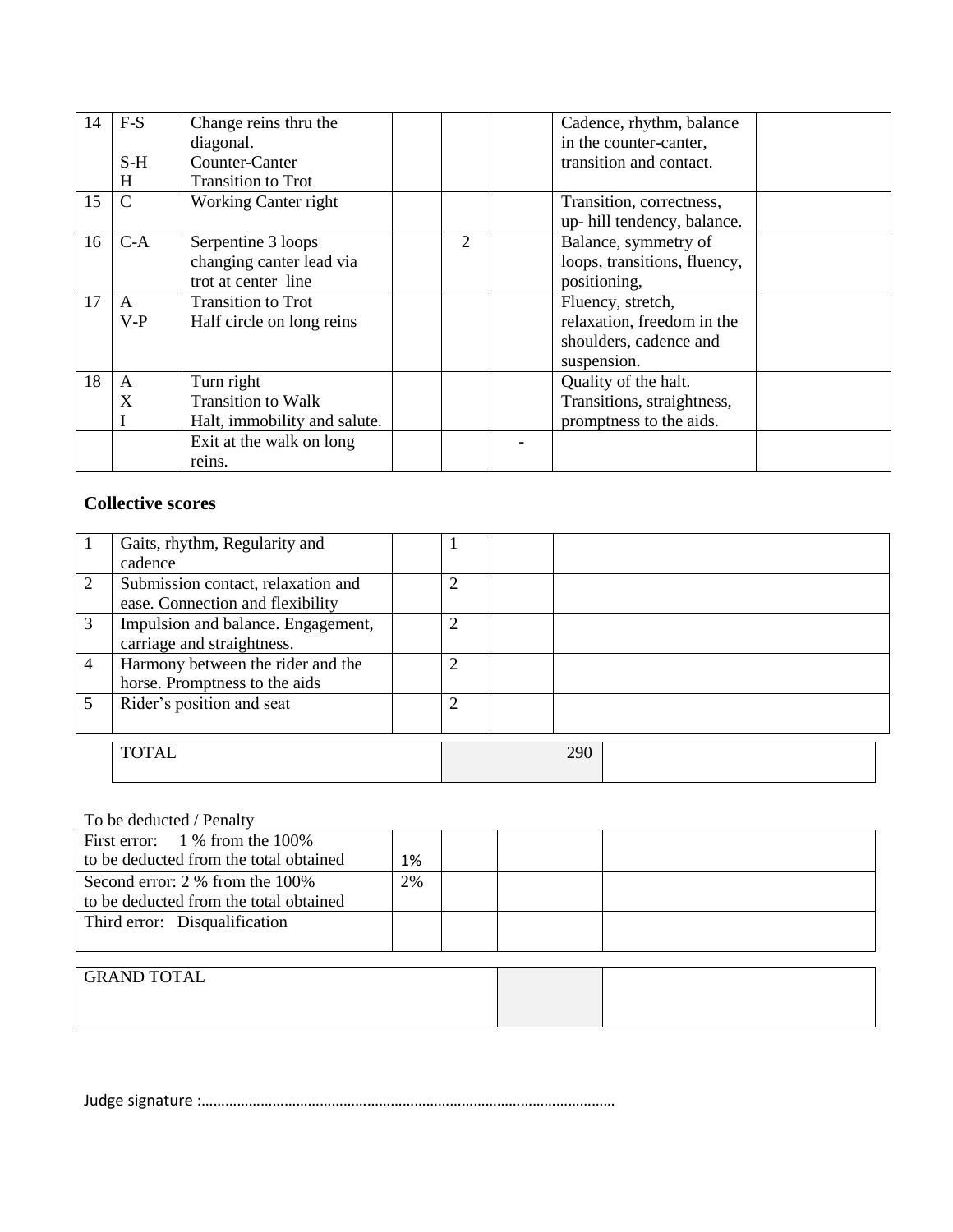| 14 | $F-S$          | Change reins thru the<br>diagonal. |   | Cadence, rhythm, balance<br>in the counter-canter,     |  |
|----|----------------|------------------------------------|---|--------------------------------------------------------|--|
|    | $S-H$          | Counter-Canter                     |   | transition and contact.                                |  |
|    | H              | <b>Transition to Trot</b>          |   |                                                        |  |
| 15 | $\overline{C}$ | Working Canter right               |   | Transition, correctness,<br>up-hill tendency, balance. |  |
| 16 | $C-A$          | Serpentine 3 loops                 | 2 | Balance, symmetry of                                   |  |
|    |                | changing canter lead via           |   | loops, transitions, fluency,                           |  |
|    |                | trot at center line                |   | positioning,                                           |  |
| 17 | A              | <b>Transition to Trot</b>          |   | Fluency, stretch,                                      |  |
|    | $V-P$          | Half circle on long reins          |   | relaxation, freedom in the                             |  |
|    |                |                                    |   | shoulders, cadence and                                 |  |
|    |                |                                    |   | suspension.                                            |  |
| 18 | A              | Turn right                         |   | Quality of the halt.                                   |  |
|    | X              | Transition to Walk                 |   | Transitions, straightness,                             |  |
|    |                | Halt, immobility and salute.       |   | promptness to the aids.                                |  |
|    |                | Exit at the walk on long           |   |                                                        |  |
|    |                | reins.                             |   |                                                        |  |

### **Collective scores**

|   | Gaits, rhythm, Regularity and      |                |     |  |
|---|------------------------------------|----------------|-----|--|
|   | cadence                            |                |     |  |
| 2 | Submission contact, relaxation and | $\overline{2}$ |     |  |
|   | ease. Connection and flexibility   |                |     |  |
| 3 | Impulsion and balance. Engagement, | $\overline{c}$ |     |  |
|   | carriage and straightness.         |                |     |  |
| 4 | Harmony between the rider and the  | $\overline{c}$ |     |  |
|   | horse. Promptness to the aids      |                |     |  |
|   | Rider's position and seat          | $\overline{c}$ |     |  |
|   |                                    |                |     |  |
|   | <b>TOTAL</b>                       |                | 290 |  |
|   |                                    |                |     |  |

#### To be deducted / Penalty

| First error: $1\%$ from the 100%       |    |  |  |
|----------------------------------------|----|--|--|
| to be deducted from the total obtained | 1% |  |  |
| Second error: 2 % from the 100%        | 2% |  |  |
| to be deducted from the total obtained |    |  |  |
| Third error: Disqualification          |    |  |  |
|                                        |    |  |  |

#### GRAND TOTAL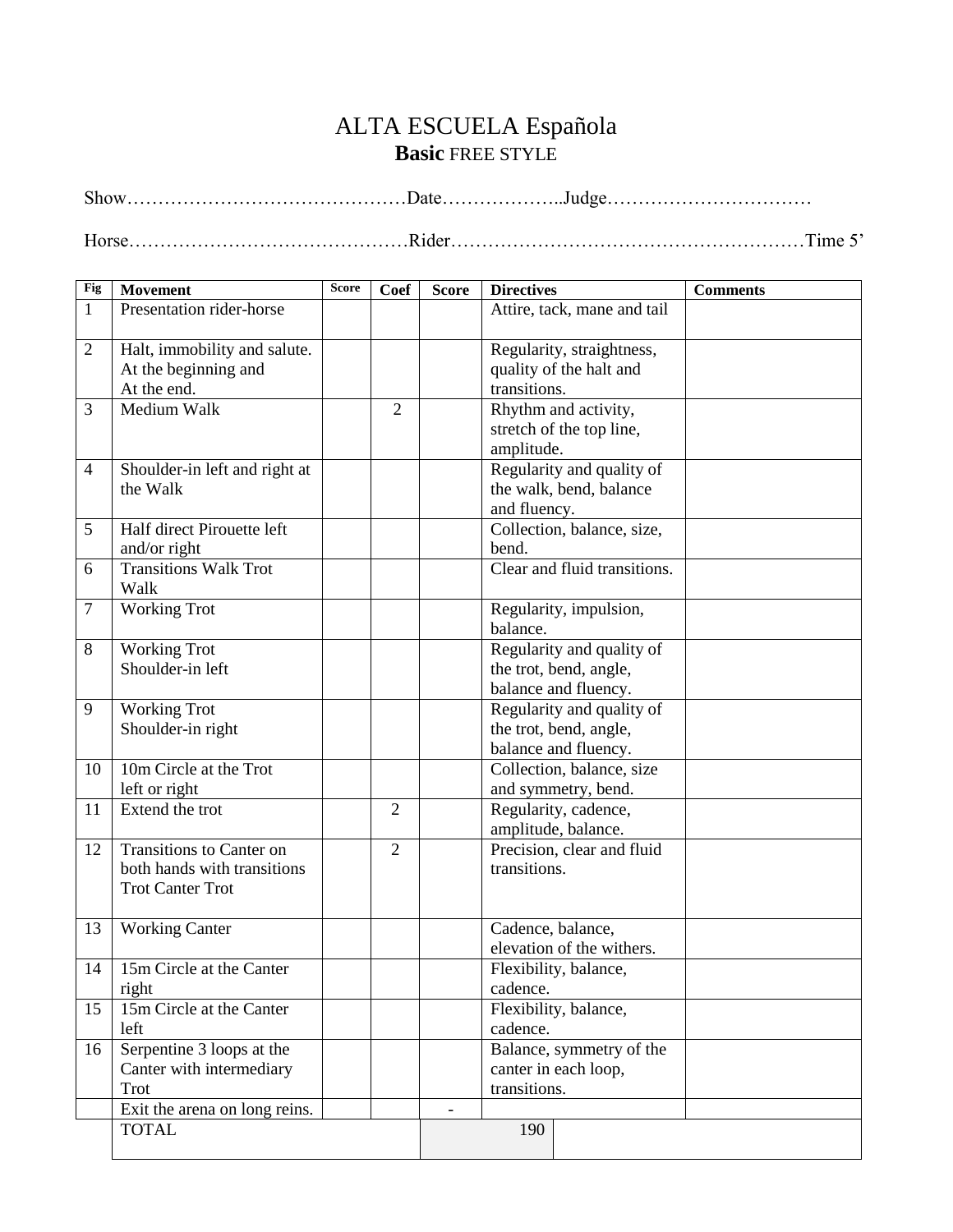## ALTA ESCUELA Española **Basic** FREE STYLE

Show………………………………………Date………………..Judge……………………………

Horse………………………………………Rider…………………………………………………Time 5'

| <b>Fig</b>     | <b>Movement</b>               | <b>Score</b> | <b>Coef</b>    | <b>Score</b> | <b>Directives</b>            | <b>Comments</b> |
|----------------|-------------------------------|--------------|----------------|--------------|------------------------------|-----------------|
| $\mathbf{1}$   | Presentation rider-horse      |              |                |              | Attire, tack, mane and tail  |                 |
|                |                               |              |                |              |                              |                 |
| $\overline{2}$ | Halt, immobility and salute.  |              |                |              | Regularity, straightness,    |                 |
|                | At the beginning and          |              |                |              | quality of the halt and      |                 |
|                | At the end.                   |              |                |              | transitions.                 |                 |
| 3              | Medium Walk                   |              | $\overline{2}$ |              | Rhythm and activity,         |                 |
|                |                               |              |                |              | stretch of the top line,     |                 |
|                |                               |              |                |              | amplitude.                   |                 |
| $\overline{4}$ | Shoulder-in left and right at |              |                |              | Regularity and quality of    |                 |
|                | the Walk                      |              |                |              | the walk, bend, balance      |                 |
|                |                               |              |                |              | and fluency.                 |                 |
| 5              | Half direct Pirouette left    |              |                |              | Collection, balance, size,   |                 |
|                | and/or right                  |              |                |              | bend.                        |                 |
| 6              | <b>Transitions Walk Trot</b>  |              |                |              | Clear and fluid transitions. |                 |
|                | Walk                          |              |                |              |                              |                 |
| $\overline{7}$ | <b>Working Trot</b>           |              |                |              | Regularity, impulsion,       |                 |
|                |                               |              |                |              | balance.                     |                 |
| 8              | <b>Working Trot</b>           |              |                |              | Regularity and quality of    |                 |
|                | Shoulder-in left              |              |                |              | the trot, bend, angle,       |                 |
|                |                               |              |                |              | balance and fluency.         |                 |
| 9              | <b>Working Trot</b>           |              |                |              | Regularity and quality of    |                 |
|                | Shoulder-in right             |              |                |              | the trot, bend, angle,       |                 |
|                |                               |              |                |              | balance and fluency.         |                 |
| 10             | 10m Circle at the Trot        |              |                |              | Collection, balance, size    |                 |
|                | left or right                 |              |                |              | and symmetry, bend.          |                 |
| 11             | Extend the trot               |              | $\overline{2}$ |              | Regularity, cadence,         |                 |
|                |                               |              |                |              | amplitude, balance.          |                 |
| 12             | Transitions to Canter on      |              | $\overline{2}$ |              | Precision, clear and fluid   |                 |
|                | both hands with transitions   |              |                |              | transitions.                 |                 |
|                | <b>Trot Canter Trot</b>       |              |                |              |                              |                 |
|                |                               |              |                |              |                              |                 |
| 13             | <b>Working Canter</b>         |              |                |              | Cadence, balance,            |                 |
|                |                               |              |                |              | elevation of the withers.    |                 |
| 14             | 15m Circle at the Canter      |              |                |              | Flexibility, balance,        |                 |
|                | right                         |              |                |              | cadence.                     |                 |
| 15             | 15m Circle at the Canter      |              |                |              | Flexibility, balance,        |                 |
|                | left                          |              |                |              | cadence.                     |                 |
| 16             | Serpentine 3 loops at the     |              |                |              | Balance, symmetry of the     |                 |
|                | Canter with intermediary      |              |                |              | canter in each loop,         |                 |
|                | Trot                          |              |                |              | transitions.                 |                 |
|                | Exit the arena on long reins. |              |                |              |                              |                 |
|                | <b>TOTAL</b>                  |              |                |              | 190                          |                 |
|                |                               |              |                |              |                              |                 |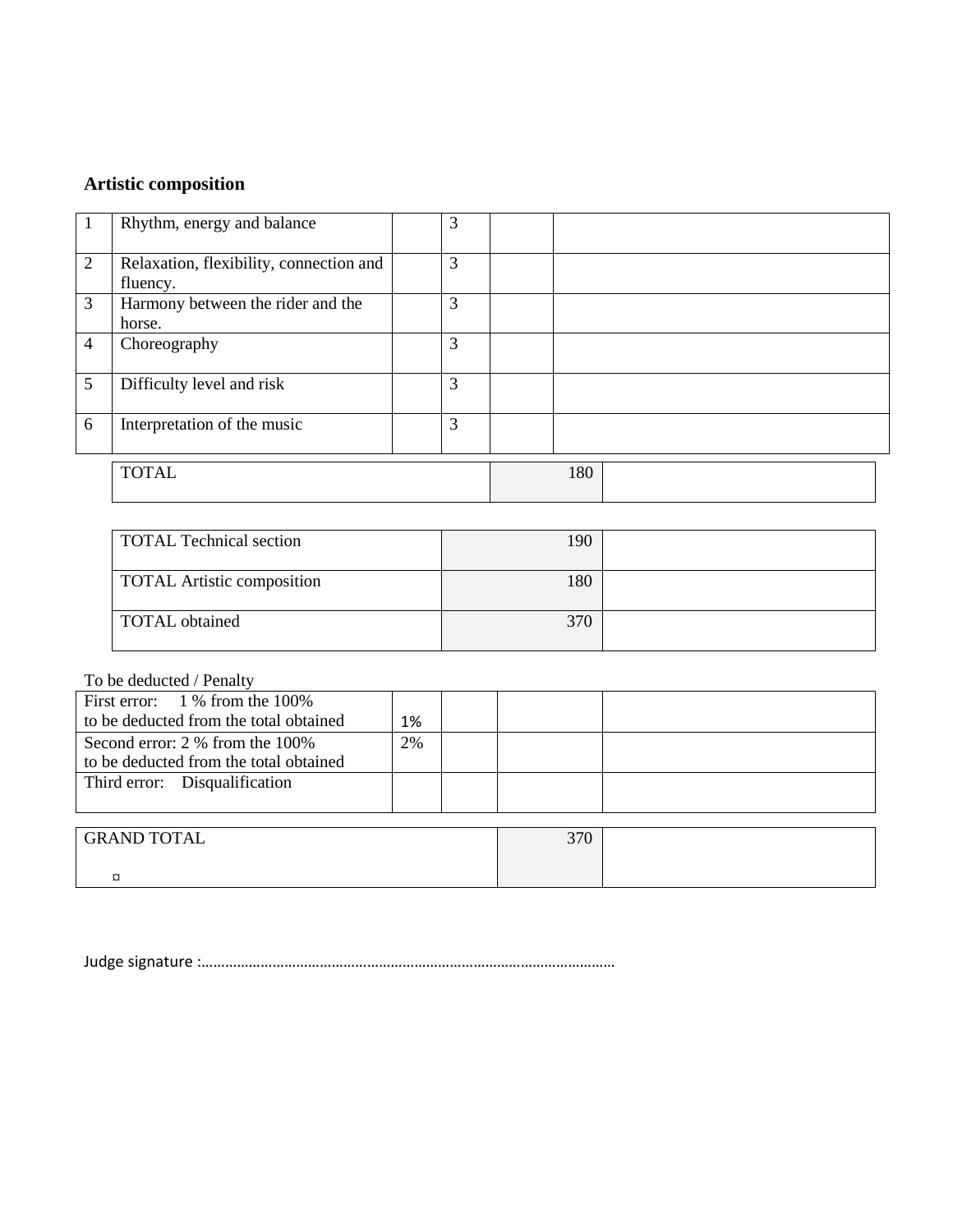# **Artistic composition**

|                | Rhythm, energy and balance                          | 3 |     |
|----------------|-----------------------------------------------------|---|-----|
| 2              | Relaxation, flexibility, connection and<br>fluency. | 3 |     |
| 3              | Harmony between the rider and the<br>horse.         | 3 |     |
| $\overline{4}$ | Choreography                                        | 3 |     |
| 5              | Difficulty level and risk                           | 3 |     |
| 6              | Interpretation of the music                         | 3 |     |
|                | <b>TOTAL</b>                                        |   | 180 |

| <b>TOTAL Technical section</b>    | 190 |  |
|-----------------------------------|-----|--|
| <b>TOTAL Artistic composition</b> | 180 |  |
| TOTAL obtained                    | 370 |  |

To be deducted / Penalty

| First error: $1\%$ from the 100%       |    |  |  |
|----------------------------------------|----|--|--|
| to be deducted from the total obtained | 1% |  |  |
| Second error: 2 % from the 100%        | 2% |  |  |
| to be deducted from the total obtained |    |  |  |
| Third error: Disqualification          |    |  |  |
|                                        |    |  |  |

| <b>GRAND TOTAL</b> | 370 |  |
|--------------------|-----|--|
|                    |     |  |
| سه<br>∼            |     |  |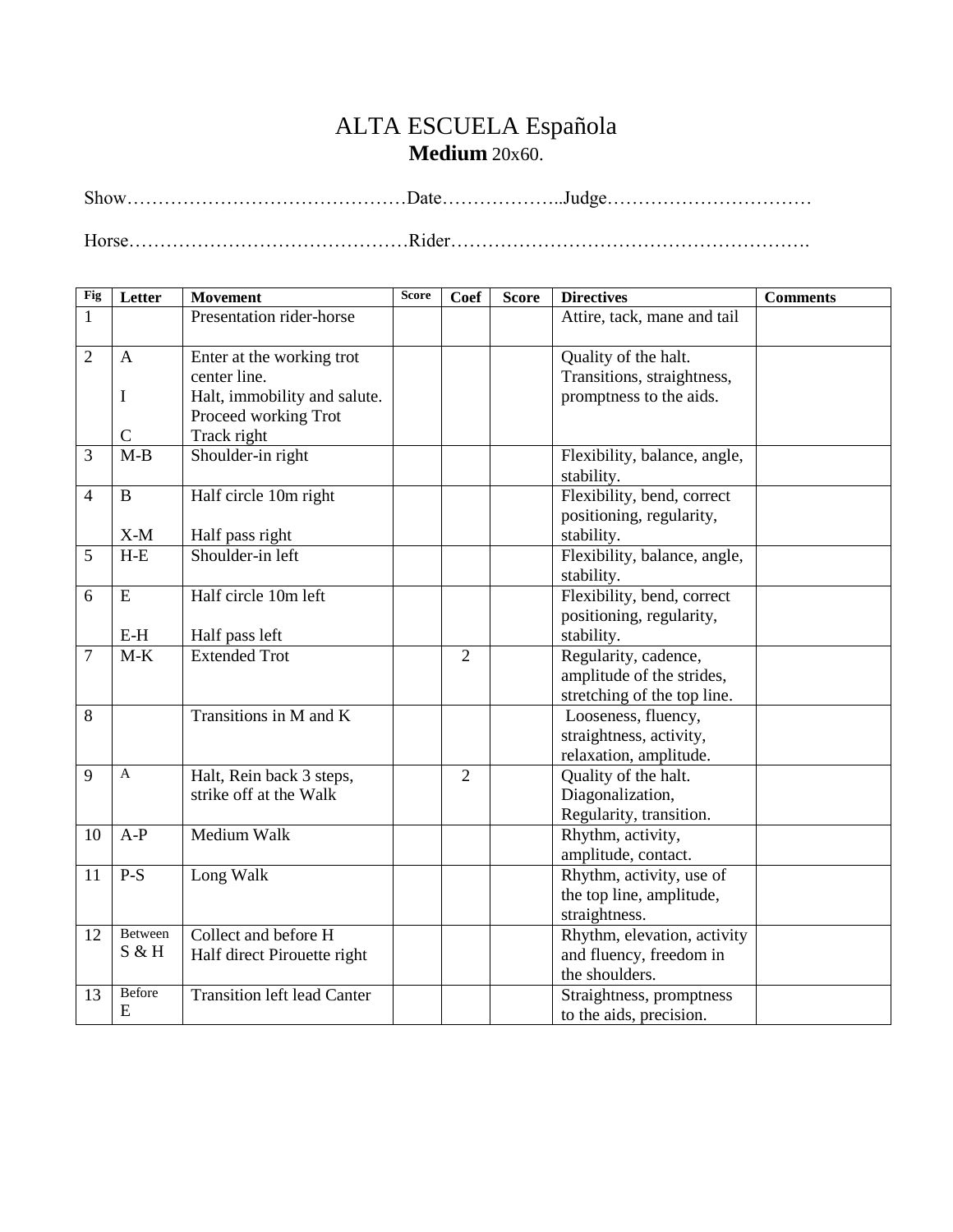## ALTA ESCUELA Española **Medium** 20x60.

**Fig Letter Movement Score Coef Score Directives Comments** 1 Presentation rider-horse Attire, tack, mane and tail  $2 \mid A$ I C Enter at the working trot center line. Halt, immobility and salute. Proceed working Trot Track right Quality of the halt. Transitions, straightness, promptness to the aids. 3 M-B Shoulder-in right Flexibility, balance, angle, stability. 4 B X-M Half circle 10m right Half pass right Flexibility, bend, correct positioning, regularity, stability. 5 H-E Shoulder-in left Flexibility, balance, angle, stability.  $6 \mid E$ E-H Half circle 10m left Half pass left Flexibility, bend, correct positioning, regularity, stability. 7 | M-K | Extended Trot 2 | Regularity, cadence, amplitude of the strides, stretching of the top line. 8 Transitions in M and K Looseness, fluency, straightness, activity, relaxation, amplitude. 9 | A | Halt, Rein back 3 steps, strike off at the Walk 2 Quality of the halt. Diagonalization, Regularity, transition. 10 A-P Medium Walk Rhythm, activity, amplitude, contact. 11 P-S Long Walk Rhythm, activity, use of the top line, amplitude, straightness. 12 Between S & H Collect and before H Half direct Pirouette right Rhythm, elevation, activity and fluency, freedom in the shoulders. 13 Before E Transition left lead Canter  $\parallel$  Straightness, promptness to the aids, precision.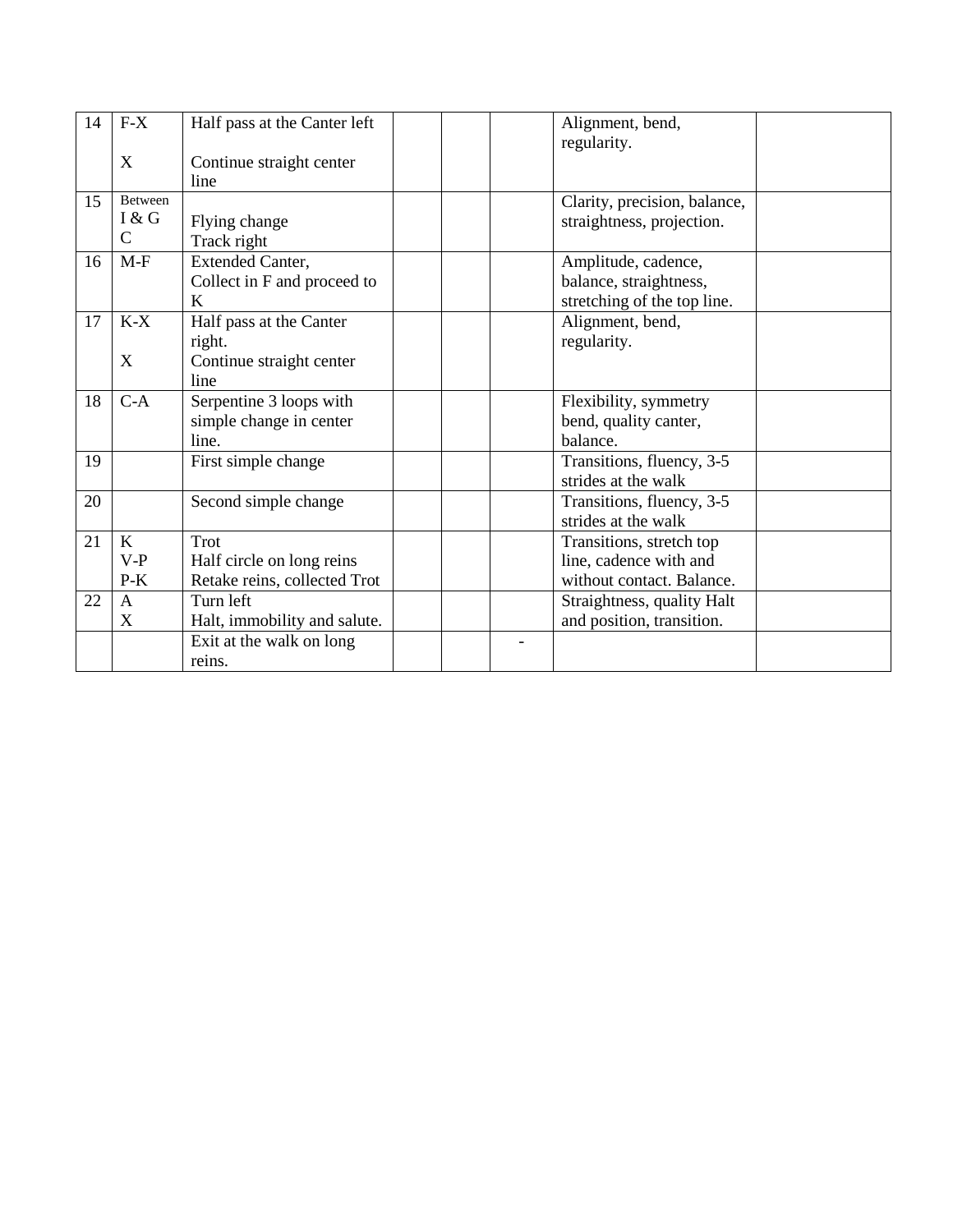| 14 | $F-X$<br>X                             | Half pass at the Canter left<br>Continue straight center<br>line                | Alignment, bend,<br>regularity.                                                 |
|----|----------------------------------------|---------------------------------------------------------------------------------|---------------------------------------------------------------------------------|
| 15 | <b>Between</b><br>I & G<br>$\mathbf C$ | Flying change<br>Track right                                                    | Clarity, precision, balance,<br>straightness, projection.                       |
| 16 | $M-F$                                  | Extended Canter,<br>Collect in F and proceed to<br>K                            | Amplitude, cadence,<br>balance, straightness,<br>stretching of the top line.    |
| 17 | $K-X$<br>X                             | Half pass at the Canter<br>right.<br>Continue straight center<br>line           | Alignment, bend,<br>regularity.                                                 |
| 18 | $C-A$                                  | Serpentine 3 loops with<br>simple change in center<br>line.                     | Flexibility, symmetry<br>bend, quality canter,<br>balance.                      |
| 19 |                                        | First simple change                                                             | Transitions, fluency, 3-5<br>strides at the walk                                |
| 20 |                                        | Second simple change                                                            | Transitions, fluency, 3-5<br>strides at the walk                                |
| 21 | $\bf K$<br>$V-P$<br>$P-K$              | Trot<br>Half circle on long reins<br>Retake reins, collected Trot               | Transitions, stretch top<br>line, cadence with and<br>without contact. Balance. |
| 22 | $\mathsf{A}$<br>X                      | Turn left<br>Halt, immobility and salute.<br>Exit at the walk on long<br>reins. | Straightness, quality Halt<br>and position, transition.                         |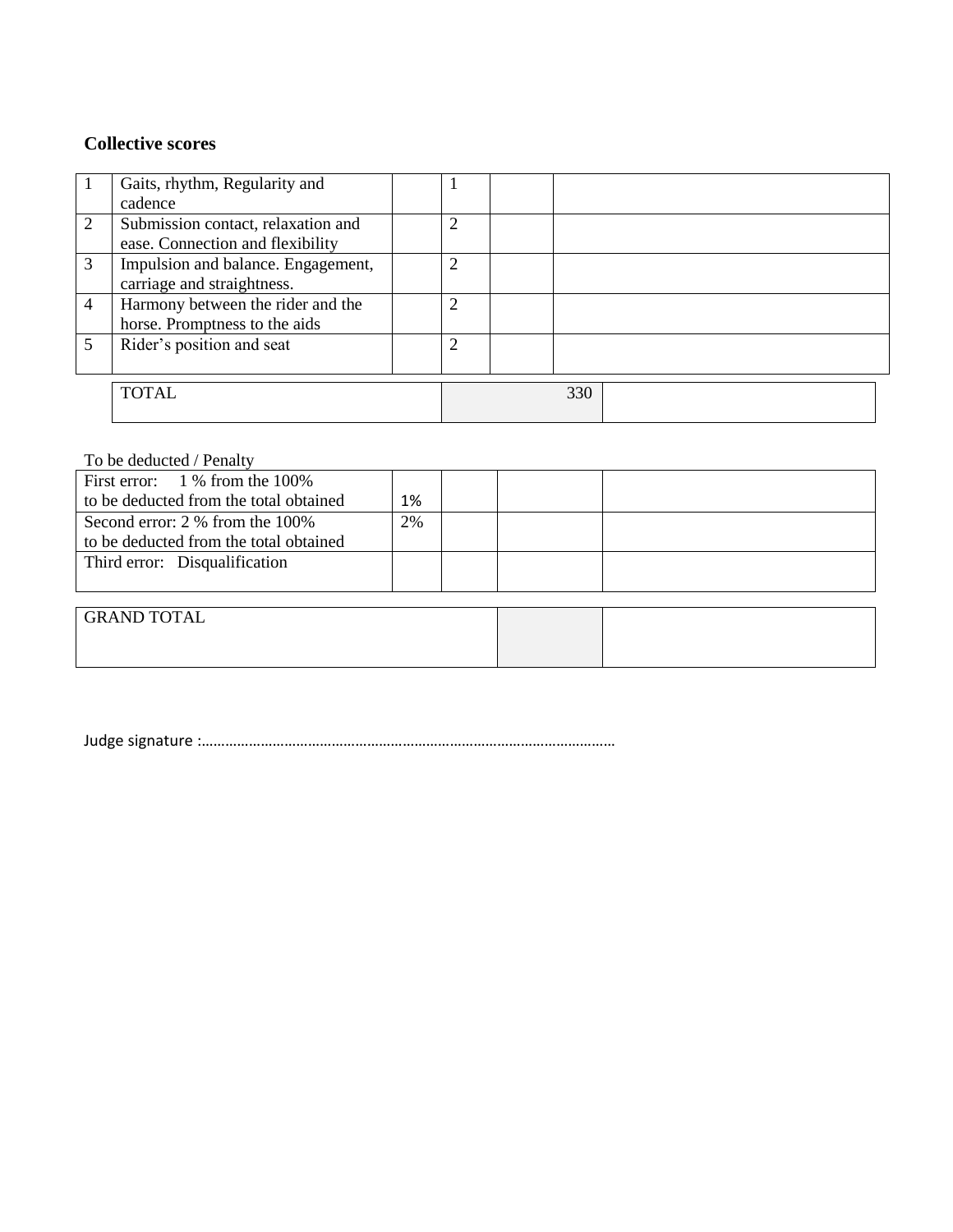### **Collective scores**

|                | Gaits, rhythm, Regularity and<br>cadence                               |   |     |  |  |
|----------------|------------------------------------------------------------------------|---|-----|--|--|
| 2              | Submission contact, relaxation and<br>ease. Connection and flexibility | 2 |     |  |  |
| 3              | Impulsion and balance. Engagement,<br>carriage and straightness.       | 2 |     |  |  |
| $\overline{4}$ | Harmony between the rider and the<br>horse. Promptness to the aids     | 2 |     |  |  |
| 5              | Rider's position and seat                                              | 2 |     |  |  |
|                | <b>TOTAL</b>                                                           |   | 330 |  |  |

### To be deducted / Penalty

| First error: $1\%$ from the 100%       |       |  |  |
|----------------------------------------|-------|--|--|
| to be deducted from the total obtained | $1\%$ |  |  |
| Second error: 2 % from the 100%        | 2%    |  |  |
| to be deducted from the total obtained |       |  |  |
| Third error: Disqualification          |       |  |  |
|                                        |       |  |  |
|                                        |       |  |  |

| <b>GRAND TOTAL</b> |  |
|--------------------|--|
|                    |  |
|                    |  |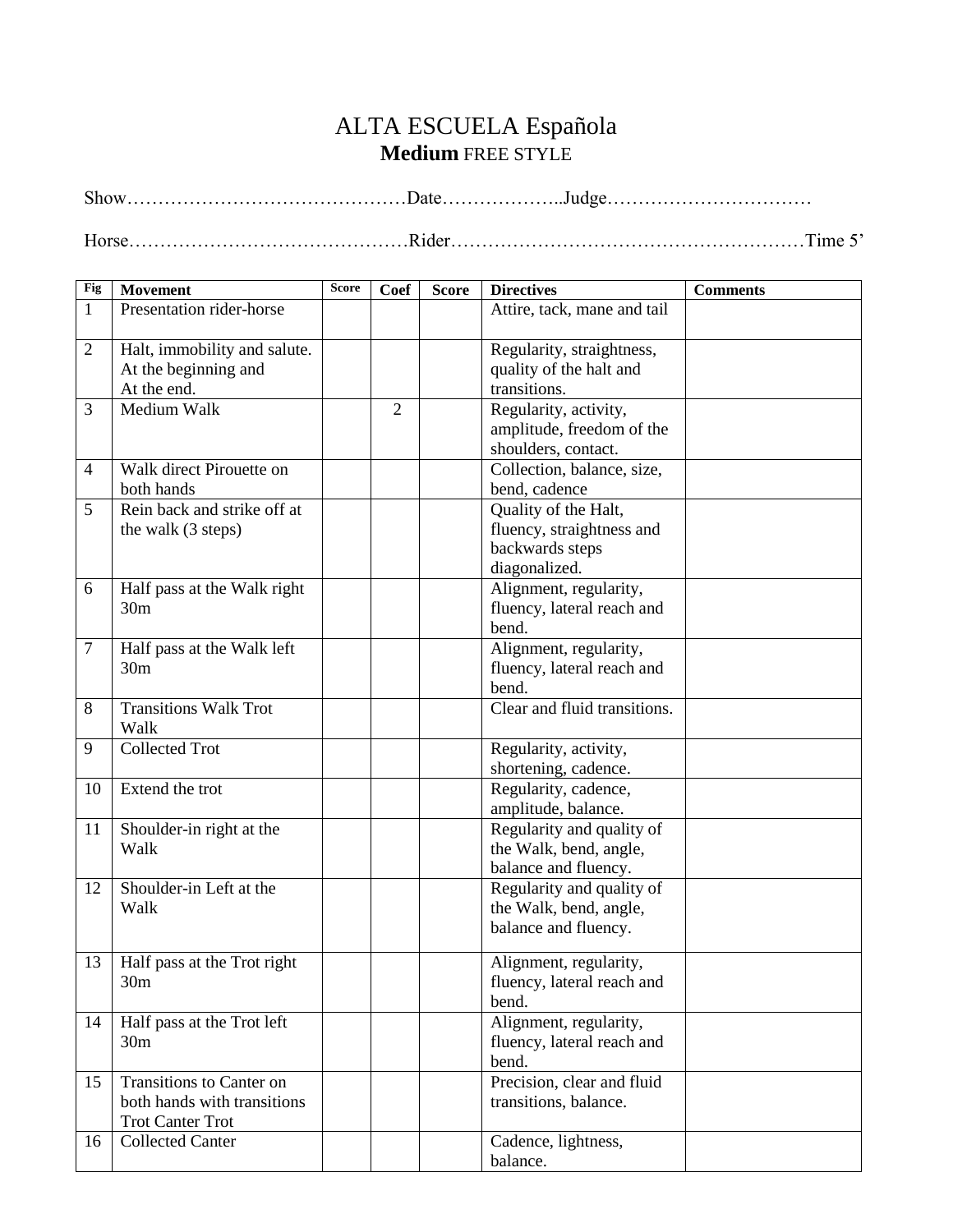## ALTA ESCUELA Española **Medium** FREE STYLE

Show………………………………………Date………………..Judge……………………………

Horse………………………………………Rider…………………………………………………Time 5'

| Fig            | <b>Movement</b>              | <b>Score</b> | Coef           | <b>Score</b> | <b>Directives</b>            | <b>Comments</b> |
|----------------|------------------------------|--------------|----------------|--------------|------------------------------|-----------------|
| $\mathbf{1}$   | Presentation rider-horse     |              |                |              | Attire, tack, mane and tail  |                 |
|                |                              |              |                |              |                              |                 |
| 2              | Halt, immobility and salute. |              |                |              | Regularity, straightness,    |                 |
|                | At the beginning and         |              |                |              | quality of the halt and      |                 |
|                | At the end.                  |              |                |              | transitions.                 |                 |
| 3              | Medium Walk                  |              | $\overline{2}$ |              | Regularity, activity,        |                 |
|                |                              |              |                |              | amplitude, freedom of the    |                 |
|                |                              |              |                |              | shoulders, contact.          |                 |
| $\overline{4}$ | Walk direct Pirouette on     |              |                |              | Collection, balance, size,   |                 |
|                | both hands                   |              |                |              | bend, cadence                |                 |
| 5              | Rein back and strike off at  |              |                |              | Quality of the Halt,         |                 |
|                | the walk (3 steps)           |              |                |              | fluency, straightness and    |                 |
|                |                              |              |                |              | backwards steps              |                 |
|                |                              |              |                |              | diagonalized.                |                 |
| 6              | Half pass at the Walk right  |              |                |              | Alignment, regularity,       |                 |
|                | 30 <sub>m</sub>              |              |                |              | fluency, lateral reach and   |                 |
|                |                              |              |                |              | bend.                        |                 |
| $\tau$         | Half pass at the Walk left   |              |                |              | Alignment, regularity,       |                 |
|                | 30 <sub>m</sub>              |              |                |              | fluency, lateral reach and   |                 |
|                |                              |              |                |              | bend.                        |                 |
| 8              | <b>Transitions Walk Trot</b> |              |                |              | Clear and fluid transitions. |                 |
|                | Walk                         |              |                |              |                              |                 |
| 9              | <b>Collected Trot</b>        |              |                |              | Regularity, activity,        |                 |
|                |                              |              |                |              | shortening, cadence.         |                 |
| 10             | Extend the trot              |              |                |              | Regularity, cadence,         |                 |
|                |                              |              |                |              | amplitude, balance.          |                 |
| 11             | Shoulder-in right at the     |              |                |              | Regularity and quality of    |                 |
|                | Walk                         |              |                |              | the Walk, bend, angle,       |                 |
|                |                              |              |                |              | balance and fluency.         |                 |
| 12             | Shoulder-in Left at the      |              |                |              | Regularity and quality of    |                 |
|                | Walk                         |              |                |              | the Walk, bend, angle,       |                 |
|                |                              |              |                |              | balance and fluency.         |                 |
|                |                              |              |                |              |                              |                 |
| 13             | Half pass at the Trot right  |              |                |              | Alignment, regularity,       |                 |
|                | 30 <sub>m</sub>              |              |                |              | fluency, lateral reach and   |                 |
|                |                              |              |                |              | bend.                        |                 |
| 14             | Half pass at the Trot left   |              |                |              | Alignment, regularity,       |                 |
|                | 30 <sub>m</sub>              |              |                |              | fluency, lateral reach and   |                 |
|                |                              |              |                |              | bend.                        |                 |
| 15             | Transitions to Canter on     |              |                |              | Precision, clear and fluid   |                 |
|                | both hands with transitions  |              |                |              | transitions, balance.        |                 |
|                | <b>Trot Canter Trot</b>      |              |                |              |                              |                 |
| 16             | <b>Collected Canter</b>      |              |                |              | Cadence, lightness,          |                 |
|                |                              |              |                |              | balance.                     |                 |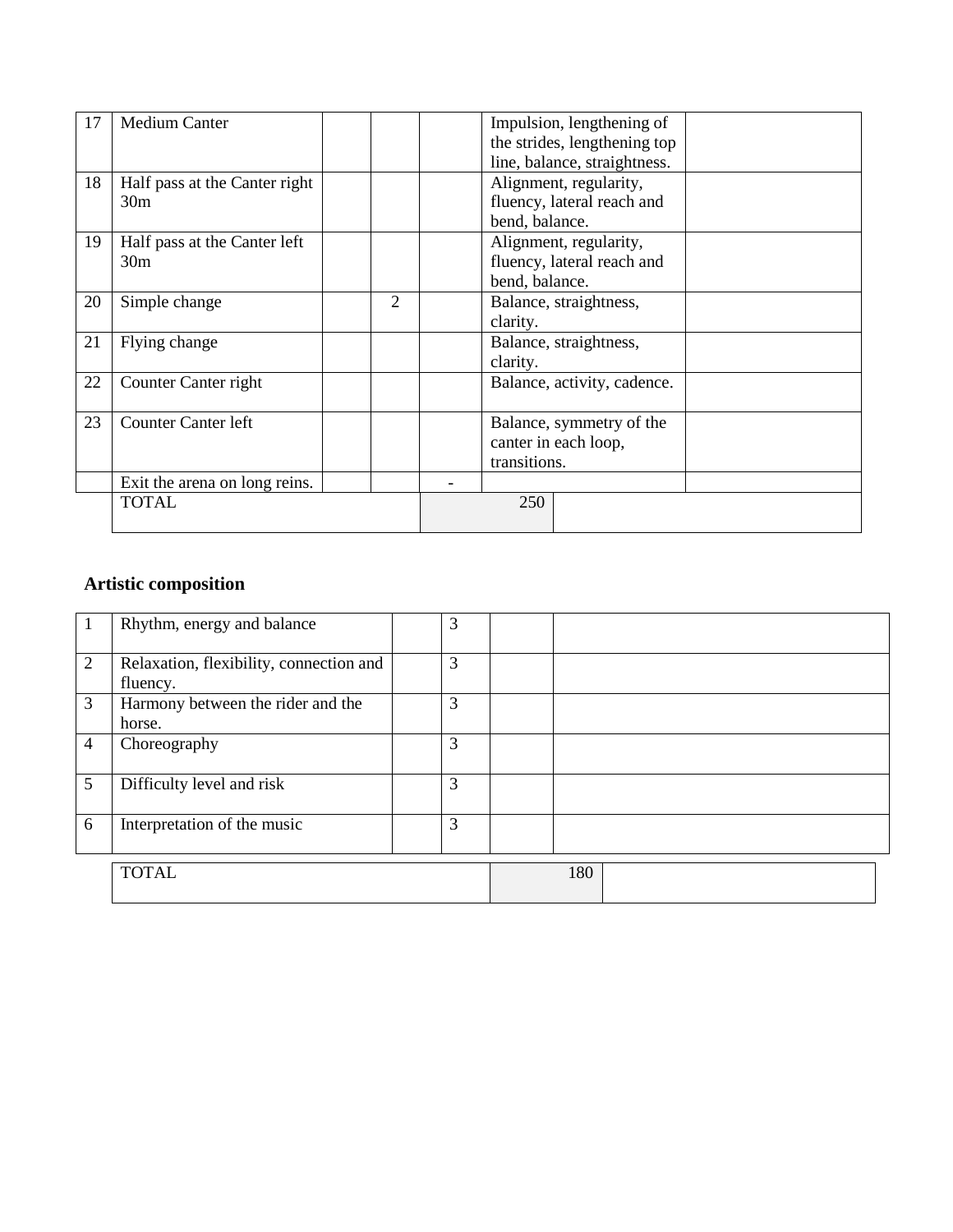| 17 | <b>Medium Canter</b>          |   |                             | Impulsion, lengthening of    |  |
|----|-------------------------------|---|-----------------------------|------------------------------|--|
|    |                               |   |                             | the strides, lengthening top |  |
|    |                               |   |                             | line, balance, straightness. |  |
| 18 | Half pass at the Canter right |   |                             | Alignment, regularity,       |  |
|    | 30 <sub>m</sub>               |   |                             | fluency, lateral reach and   |  |
|    |                               |   | bend, balance.              |                              |  |
| 19 | Half pass at the Canter left  |   |                             | Alignment, regularity,       |  |
|    | 30 <sub>m</sub>               |   |                             | fluency, lateral reach and   |  |
|    |                               |   | bend, balance.              |                              |  |
| 20 | Simple change                 | 2 |                             | Balance, straightness,       |  |
|    |                               |   | clarity.                    |                              |  |
| 21 | Flying change                 |   | Balance, straightness,      |                              |  |
|    |                               |   | clarity.                    |                              |  |
| 22 | Counter Canter right          |   | Balance, activity, cadence. |                              |  |
|    |                               |   |                             |                              |  |
| 23 | <b>Counter Canter left</b>    |   |                             | Balance, symmetry of the     |  |
|    |                               |   |                             | canter in each loop,         |  |
|    |                               |   | transitions.                |                              |  |
|    | Exit the arena on long reins. |   |                             |                              |  |
|    | <b>TOTAL</b>                  |   | 250                         |                              |  |
|    |                               |   |                             |                              |  |

### **Artistic composition**

|                | Rhythm, energy and balance                          | 3 |     |
|----------------|-----------------------------------------------------|---|-----|
| 2              | Relaxation, flexibility, connection and<br>fluency. | 3 |     |
| 3              | Harmony between the rider and the<br>horse.         | 3 |     |
| $\overline{4}$ | Choreography                                        | 3 |     |
| 5              | Difficulty level and risk                           | 3 |     |
| 6              | Interpretation of the music                         | 3 |     |
|                | <b>TOTAL</b>                                        |   | 180 |